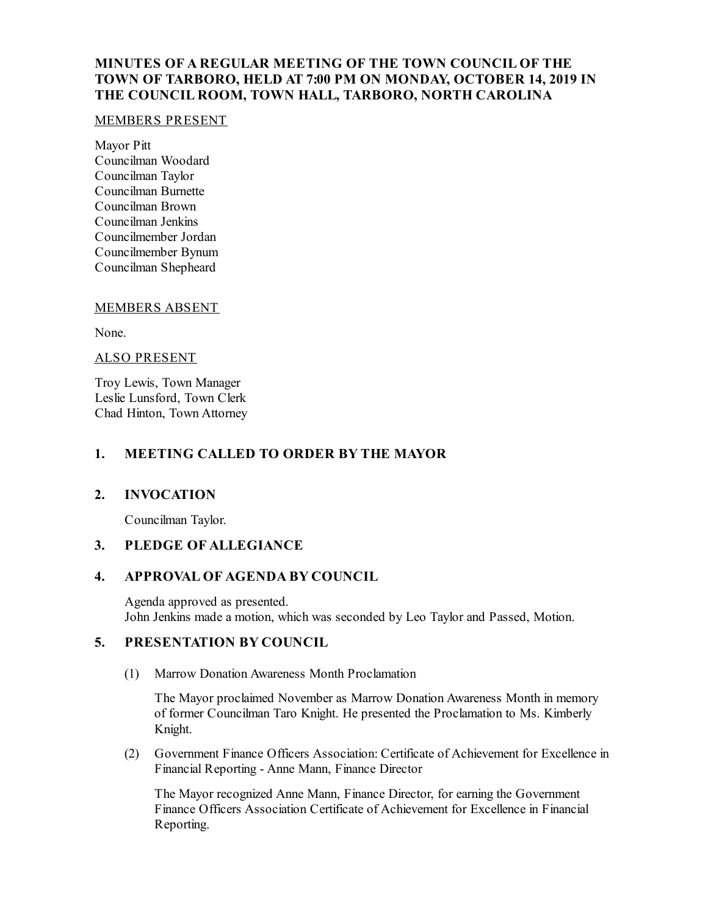# **MINUTES OF A REGULAR MEETING OF THE TOWN COUNCIL OF THE TOWN OF TARBORO, HELD AT 7:00 PM ON MONDAY, OCTOBER 14, 2019 IN THE COUNCIL ROOM, TOWN HALL, TARBORO, NORTH CAROLINA**

#### MEMBERS PRESENT

Mayor Pitt Councilman Woodard Councilman Taylor Councilman Burnette Councilman Brown Councilman Jenkins Councilmember Jordan Councilmember Bynum Councilman Shepheard

## MEMBERS ABSENT

None.

#### ALSO PRESENT

Troy Lewis, Town Manager Leslie Lunsford, Town Clerk Chad Hinton, Town Attorney

#### **1. MEETING CALLED TO ORDER BY THE MAYOR**

## **2. INVOCATION**

Councilman Taylor.

# **3. PLEDGE OF ALLEGIANCE**

## **4. APPROVAL OF AGENDA BY COUNCIL**

Agenda approved as presented. John Jenkins made a motion, which was seconded by Leo Taylor and Passed, Motion.

## **5. PRESENTATION BY COUNCIL**

(1) Marrow Donation Awareness Month Proclamation

The Mayor proclaimed November as Marrow Donation Awareness Month in memory of former Councilman Taro Knight. He presented the Proclamation to Ms. Kimberly Knight.

(2) Government Finance Officers Association: Certificate of Achievement for Excellence in Financial Reporting - Anne Mann, Finance Director

The Mayor recognized Anne Mann, Finance Director, for earning the Government Finance Officers Association Certificate of Achievement for Excellence in Financial Reporting.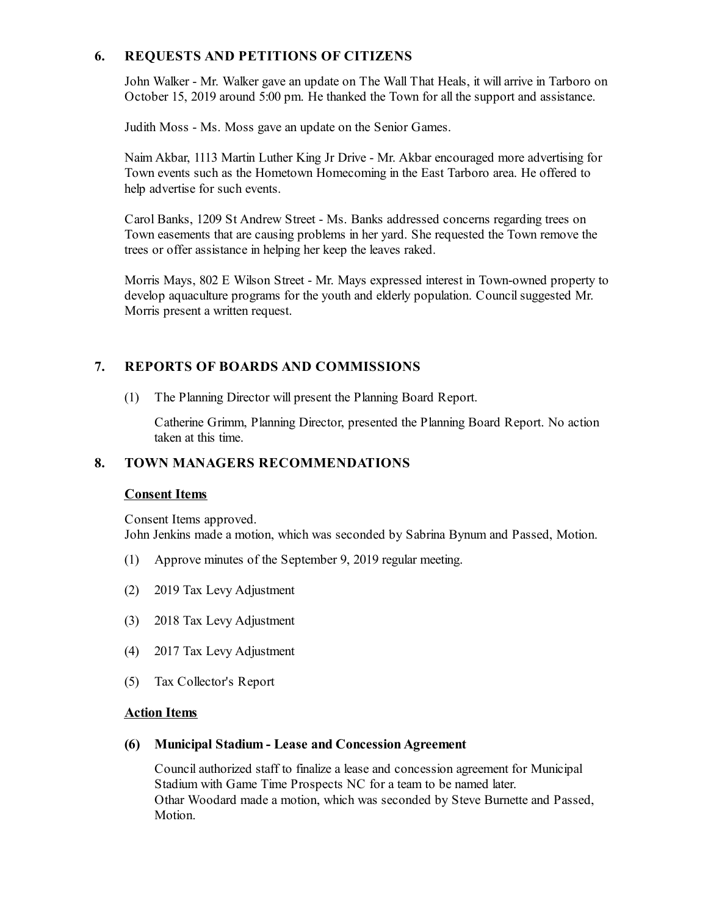# **6. REQUESTS AND PETITIONS OF CITIZENS**

John Walker - Mr. Walker gave an update on The Wall That Heals, it willarrive in Tarboro on October 15, 2019 around 5:00 pm. He thanked the Town for all the support and assistance.

Judith Moss - Ms. Moss gave an update on the Senior Games.

Naim Akbar, 1113 Martin Luther King Jr Drive - Mr. Akbar encouraged more advertising for Town events such as the Hometown Homecoming in the East Tarboro area. He offered to help advertise for such events.

Carol Banks, 1209 St Andrew Street - Ms. Banks addressed concerns regarding trees on Town easements that are causing problems in her yard. She requested the Town remove the trees or offer assistance in helping her keep the leaves raked.

Morris Mays, 802 E Wilson Street - Mr. Mays expressed interest in Town-owned property to develop aquaculture programs for the youth and elderly population. Council suggested Mr. Morris present a written request.

# **7. REPORTS OF BOARDS AND COMMISSIONS**

(1) The Planning Director will present the Planning Board Report.

Catherine Grimm, Planning Director, presented the Planning Board Report. No action taken at this time.

# **8. TOWN MANAGERS RECOMMENDATIONS**

## **Consent Items**

Consent Items approved.

John Jenkins made a motion, which was seconded by Sabrina Bynum and Passed, Motion.

- (1) Approve minutes of the September 9, 2019 regular meeting.
- (2) 2019 Tax Levy Adjustment
- (3) 2018 Tax Levy Adjustment
- (4) 2017 Tax Levy Adjustment
- (5) Tax Collector's Report

#### **Action Items**

## **(6) Municipal Stadium - Lease and ConcessionAgreement**

Councilauthorized staff to finalize a lease and concession agreement for Municipal Stadium with Game Time Prospects NC for a team to be named later. Othar Woodard made a motion, which was seconded by Steve Burnette and Passed, Motion.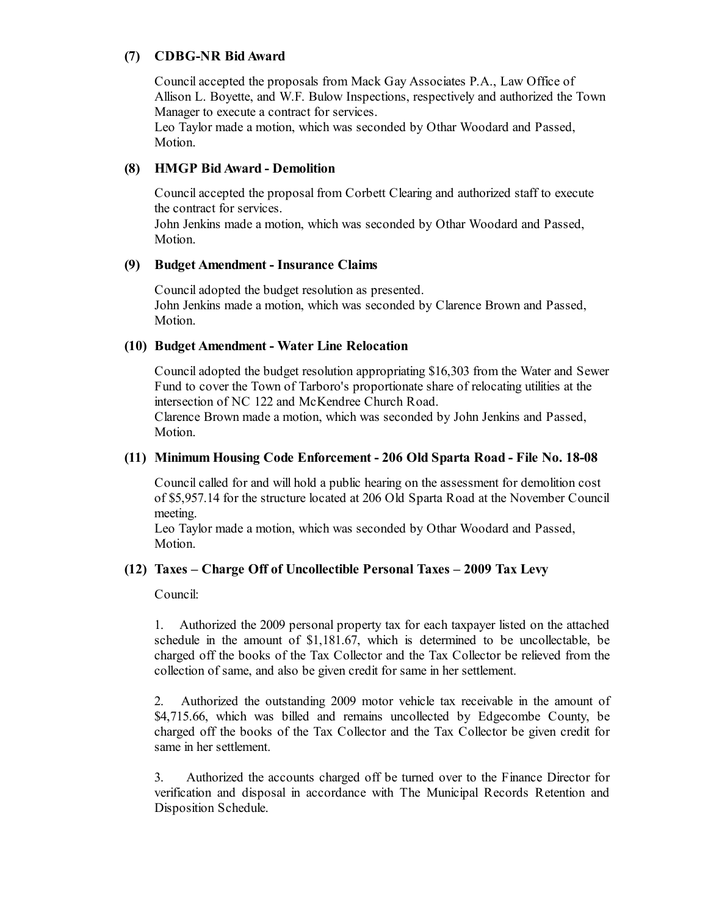# **(7) CDBG-NR BidAward**

Councilaccepted the proposals from Mack Gay Associates P.A., Law Office of Allison L. Boyette, and W.F. Bulow Inspections, respectively and authorized the Town Manager to execute a contract for services.

Leo Taylor made a motion, which was seconded by Othar Woodard and Passed, Motion.

# **(8) HMGP BidAward - Demolition**

Councilaccepted the proposal from Corbett Clearing and authorized staff to execute the contract for services.

John Jenkins made a motion, which was seconded by Othar Woodard and Passed, Motion.

## **(9) Budget Amendment - Insurance Claims**

Counciladopted the budget resolution as presented. John Jenkins made a motion, which was seconded by Clarence Brown and Passed, Motion.

#### **(10) Budget Amendment - Water Line Relocation**

Counciladopted the budget resolution appropriating \$16,303 from the Water and Sewer Fund to cover the Town of Tarboro's proportionate share of relocating utilities at the intersection of NC 122 and McKendree Church Road.

Clarence Brown made a motion, which was seconded by John Jenkins and Passed, Motion.

#### **(11) Minimum Housing Code Enforcement - 206 Old Sparta Road - File No. 18-08**

Council called for and will hold a public hearing on the assessment for demolition cost of \$5,957.14 for the structure located at 206 Old Sparta Road at the November Council meeting.

Leo Taylor made a motion, which was seconded by Othar Woodard and Passed, Motion.

## **(12) Taxes – Charge Off of Uncollectible Personal Taxes – 2009 Tax Levy**

Council:

1. Authorized the 2009 personal property tax for each taxpayer listed on the attached schedule in the amount of \$1,181.67, which is determined to be uncollectable, be charged off the books of the Tax Collector and the Tax Collector be relieved from the collection of same, and also be given credit for same in her settlement.

2. Authorized the outstanding 2009 motor vehicle tax receivable in the amount of \$4,715.66, which was billed and remains uncollected by Edgecombe County, be charged off the books of the Tax Collector and the Tax Collector be given credit for same in her settlement.

3. Authorized the accounts charged off be turned over to the Finance Director for verification and disposal in accordance with The Municipal Records Retention and Disposition Schedule.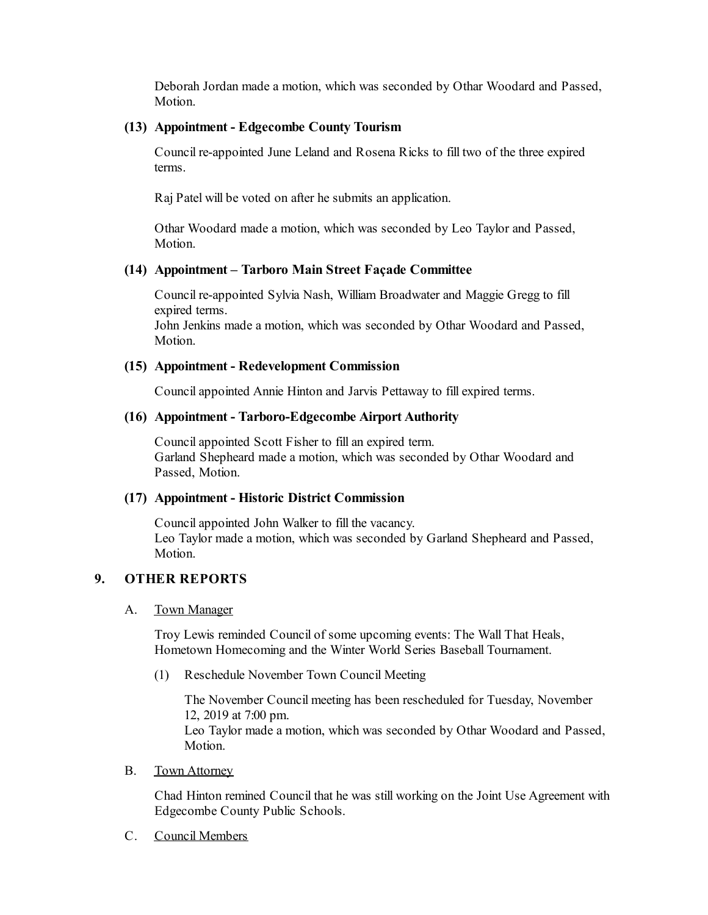Deborah Jordan made a motion, which was seconded by Othar Woodard and Passed, Motion.

#### **(13) Appointment - Edgecombe County Tourism**

Council re-appointed June Leland and Rosena Ricks to fill two of the three expired terms.

Raj Patel will be voted on after he submits an application.

Othar Woodard made a motion, which was seconded by Leo Taylor and Passed, Motion.

#### **(14) Appointment – Tarboro Main Street Façade Committee**

Council re-appointed Sylvia Nash, William Broadwater and Maggie Gregg to fill expired terms.

John Jenkins made a motion, which was seconded by Othar Woodard and Passed, Motion.

#### **(15) Appointment - Redevelopment Commission**

Council appointed Annie Hinton and Jarvis Pettaway to fill expired terms.

#### **(16) Appointment - Tarboro-Edgecombe Airport Authority**

Councilappointed Scott Fisher to fillan expired term. Garland Shepheard made a motion, which was seconded by Othar Woodard and Passed, Motion.

#### **(17) Appointment - Historic District Commission**

Councilappointed John Walker to fill the vacancy. Leo Taylor made a motion, which was seconded by Garland Shepheard and Passed, Motion.

# **9. OTHER REPORTS**

#### A. Town Manager

Troy Lewis reminded Council of some upcoming events: The Wall That Heals, Hometown Homecoming and the Winter World Series Baseball Tournament.

(1) Reschedule November Town Council Meeting

The November Council meeting has been rescheduled for Tuesday, November 12, 2019 at 7:00 pm. Leo Taylor made a motion, which was seconded by Othar Woodard and Passed, Motion.

B. Town Attorney

Chad Hinton remined Council that he was still working on the Joint Use Agreement with Edgecombe County Public Schools.

C. Council Members